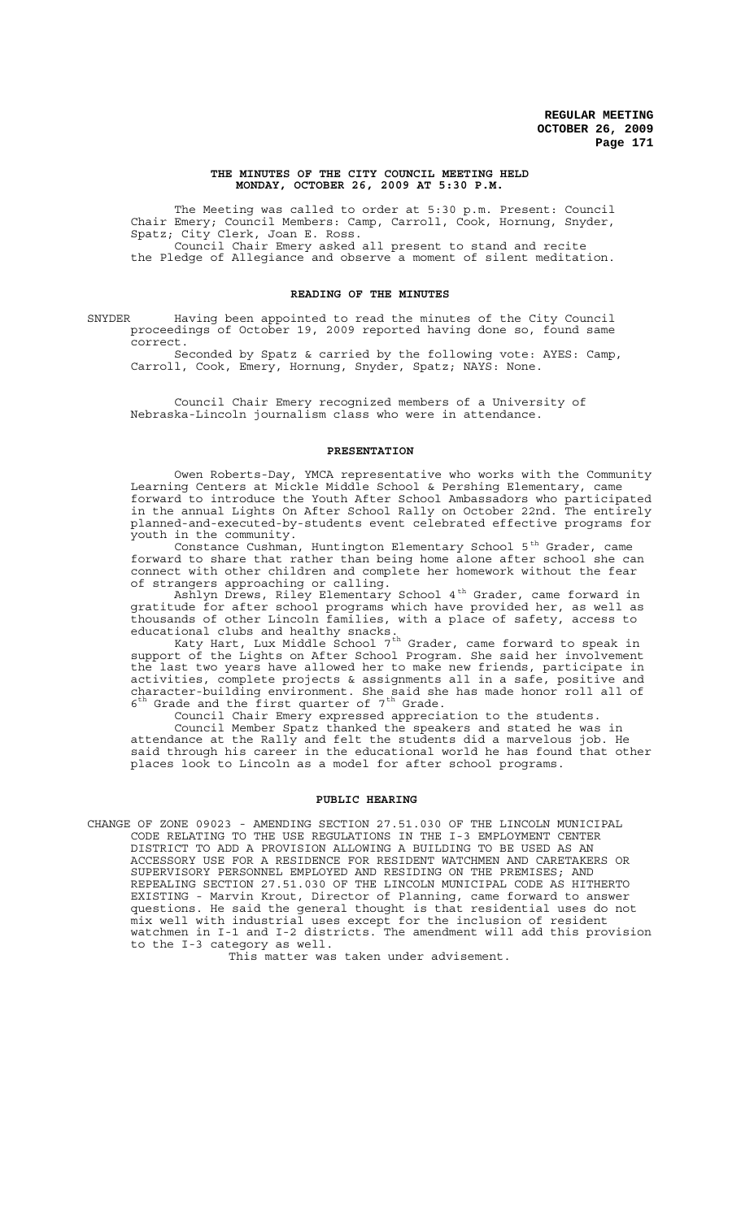### **THE MINUTES OF THE CITY COUNCIL MEETING HELD MONDAY, OCTOBER 26, 2009 AT 5:30 P.M.**

The Meeting was called to order at 5:30 p.m. Present: Council Chair Emery; Council Members: Camp, Carroll, Cook, Hornung, Snyder, Spatz; City Clerk, Joan E. Ross. Council Chair Emery asked all present to stand and recite the Pledge of Allegiance and observe a moment of silent meditation.

# **READING OF THE MINUTES**

SNYDER Having been appointed to read the minutes of the City Council proceedings of October 19, 2009 reported having done so, found same correct.

Seconded by Spatz & carried by the following vote: AYES: Camp, Carroll, Cook, Emery, Hornung, Snyder, Spatz; NAYS: None.

Council Chair Emery recognized members of a University of Nebraska-Lincoln journalism class who were in attendance.

#### **PRESENTATION**

Owen Roberts-Day, YMCA representative who works with the Community Learning Centers at Mickle Middle School & Pershing Elementary, came forward to introduce the Youth After School Ambassadors who participated in the annual Lights On After School Rally on October 22nd. The entirely planned-and-executed-by-students event celebrated effective programs for youth in the community.

Constance Cushman, Huntington Elementary School  $5<sup>th</sup>$  Grader, came forward to share that rather than being home alone after school she can connect with other children and complete her homework without the fear of strangers approaching or calling.

Ashlyn Drews, Riley Elementary School 4th Grader, came forward in gratitude for after school programs which have provided her, as well as thousands of other Lincoln families, with a place of safety, access to educational clubs and healthy snacks.

Katy Hart, Lux Middle School 7<sup>th</sup> Grader, came forward to speak in support of the Lights on After School Program. She said her involvement the last two years have allowed her to make new friends, participate in activities, complete projects & assignments all in a safe, positive and character-building environment. She said she has made honor roll all of  $6<sup>th</sup>$  Grade and the first quarter of  $7<sup>th</sup>$  Grade.

Council Chair Emery expressed appreciation to the students. Council Member Spatz thanked the speakers and stated he was in attendance at the Rally and felt the students did a marvelous job. He said through his career in the educational world he has found that other places look to Lincoln as a model for after school programs.

### **PUBLIC HEARING**

CHANGE OF ZONE 09023 - AMENDING SECTION 27.51.030 OF THE LINCOLN MUNICIPAL CODE RELATING TO THE USE REGULATIONS IN THE I-3 EMPLOYMENT CENTER DISTRICT TO ADD A PROVISION ALLOWING A BUILDING TO BE USED AS AN ACCESSORY USE FOR A RESIDENCE FOR RESIDENT WATCHMEN AND CARETAKERS OR SUPERVISORY PERSONNEL EMPLOYED AND RESIDING ON THE PREMISES; AND REPEALING SECTION 27.51.030 OF THE LINCOLN MUNICIPAL CODE AS HITHERTO EXISTING - Marvin Krout, Director of Planning, came forward to answer questions. He said the general thought is that residential uses do not mix well with industrial uses except for the inclusion of resident watchmen in I-1 and I-2 districts. The amendment will add this provision to the I-3 category as well.

This matter was taken under advisement.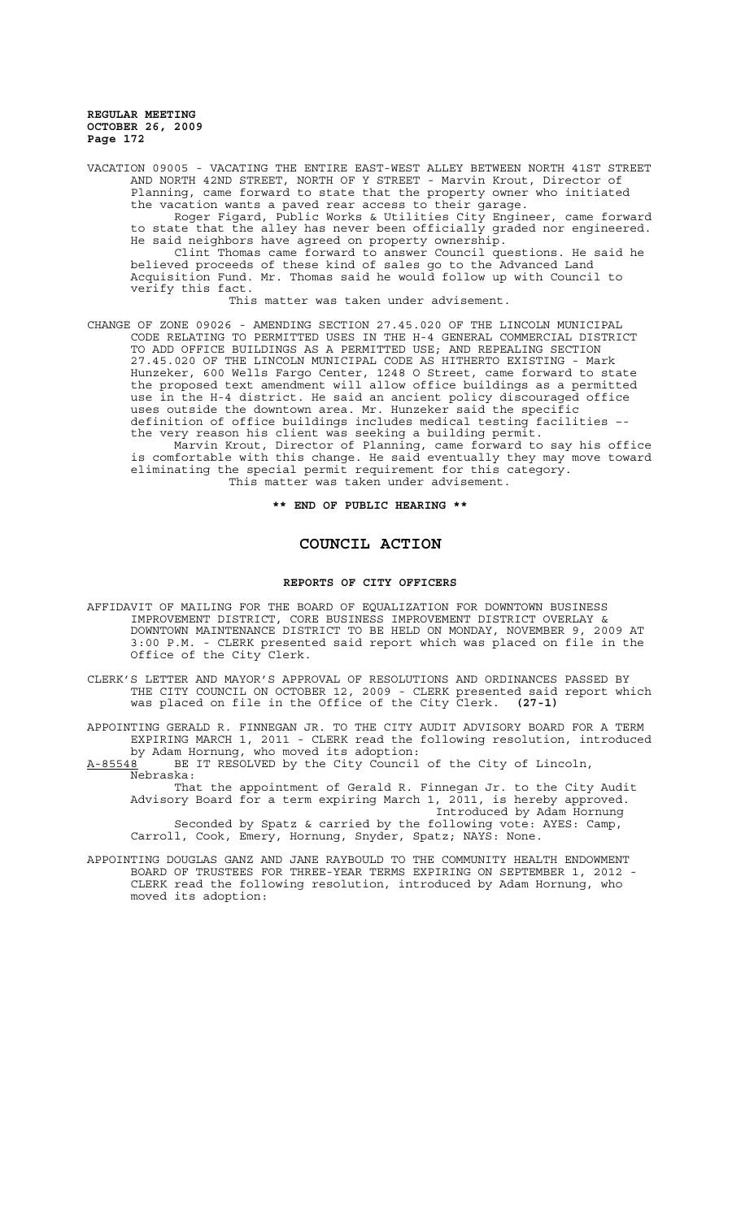VACATION 09005 - VACATING THE ENTIRE EAST-WEST ALLEY BETWEEN NORTH 41ST STREET AND NORTH 42ND STREET, NORTH OF Y STREET - Marvin Krout, Director of Planning, came forward to state that the property owner who initiated the vacation wants a paved rear access to their garage.

Roger Figard, Public Works & Utilities City Engineer, came forward to state that the alley has never been officially graded nor engineered. He said neighbors have agreed on property ownership.

Clint Thomas came forward to answer Council questions. He said he believed proceeds of these kind of sales go to the Advanced Land Acquisition Fund. Mr. Thomas said he would follow up with Council to verify this fact.

This matter was taken under advisement.

CHANGE OF ZONE 09026 - AMENDING SECTION 27.45.020 OF THE LINCOLN MUNICIPAL CODE RELATING TO PERMITTED USES IN THE H-4 GENERAL COMMERCIAL DISTRICT TO ADD OFFICE BUILDINGS AS A PERMITTED USE; AND REPEALING SECTION 27.45.020 OF THE LINCOLN MUNICIPAL CODE AS HITHERTO EXISTING - Mark Hunzeker, 600 Wells Fargo Center, 1248 O Street, came forward to state the proposed text amendment will allow office buildings as a permitted in the H-4 district. He said an ancient policy discouraged office uses outside the downtown area. Mr. Hunzeker said the specific definition of office buildings includes medical testing facilities the very reason his client was seeking a building permit.

Marvin Krout, Director of Planning, came forward to say his office is comfortable with this change. He said eventually they may move toward eliminating the special permit requirement for this category. This matter was taken under advisement.

**\*\* END OF PUBLIC HEARING \*\***

# **COUNCIL ACTION**

#### **REPORTS OF CITY OFFICERS**

- AFFIDAVIT OF MAILING FOR THE BOARD OF EQUALIZATION FOR DOWNTOWN BUSINESS IMPROVEMENT DISTRICT, CORE BUSINESS IMPROVEMENT DISTRICT OVERLAY & DOWNTOWN MAINTENANCE DISTRICT TO BE HELD ON MONDAY, NOVEMBER 9, 2009 AT 3:00 P.M. - CLERK presented said report which was placed on file in the Office of the City Clerk.
- CLERK'S LETTER AND MAYOR'S APPROVAL OF RESOLUTIONS AND ORDINANCES PASSED BY THE CITY COUNCIL ON OCTOBER 12, 2009 - CLERK presented said report which was placed on file in the Office of the City Clerk. **(27-1)**

APPOINTING GERALD R. FINNEGAN JR. TO THE CITY AUDIT ADVISORY BOARD FOR A TERM EXPIRING MARCH 1, 2011 - CLERK read the following resolution, introduced by Adam Hornung, who moved its adoption:<br>A-85548 BE IT RESOLVED by the City Council

BE IT RESOLVED by the City Council of the City of Lincoln, Nebraska:

That the appointment of Gerald R. Finnegan Jr. to the City Audit Advisory Board for a term expiring March 1, 2011, is hereby approved. Introduced by Adam Hornung

Seconded by Spatz & carried by the following vote: AYES: Camp, Carroll, Cook, Emery, Hornung, Snyder, Spatz; NAYS: None.

APPOINTING DOUGLAS GANZ AND JANE RAYBOULD TO THE COMMUNITY HEALTH ENDOWMENT BOARD OF TRUSTEES FOR THREE-YEAR TERMS EXPIRING ON SEPTEMBER 1, 2012 - CLERK read the following resolution, introduced by Adam Hornung, who moved its adoption: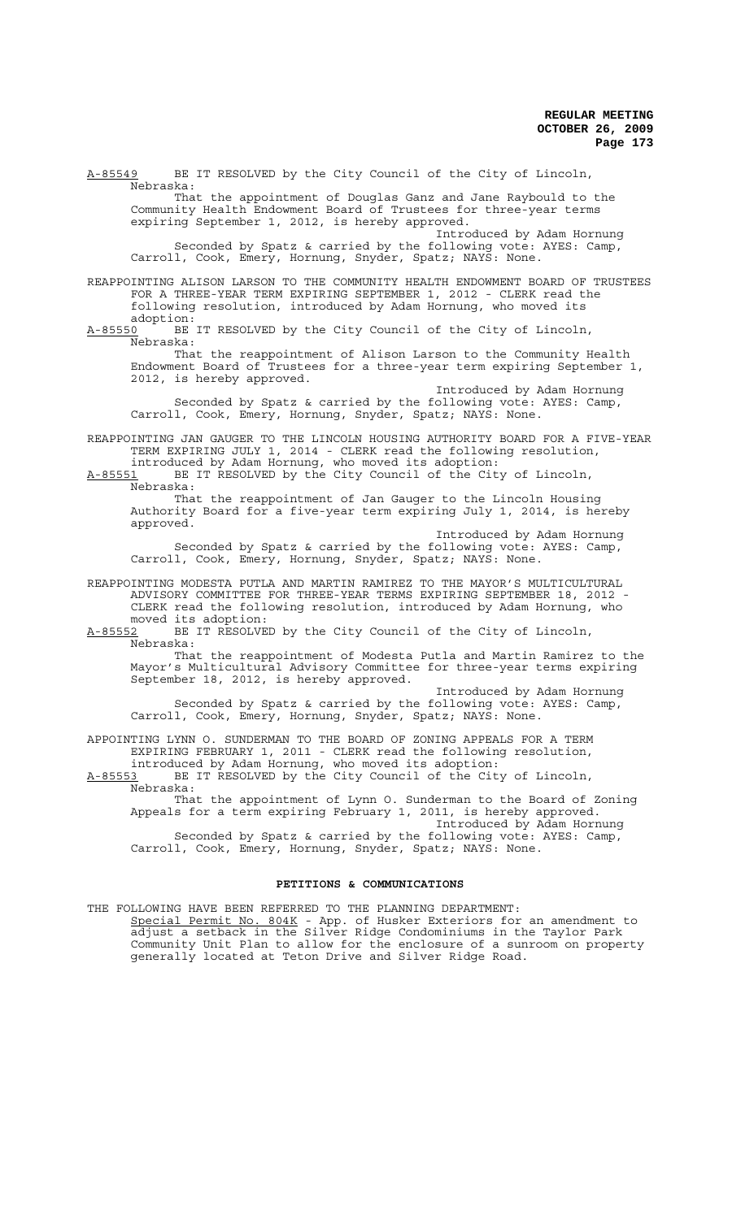A-85549 BE IT RESOLVED by the City Council of the City of Lincoln, Nebraska: That the appointment of Douglas Ganz and Jane Raybould to the Community Health Endowment Board of Trustees for three-year terms expiring September 1, 2012, is hereby approved. Introduced by Adam Hornung Seconded by Spatz & carried by the following vote: AYES: Camp, Carroll, Cook, Emery, Hornung, Snyder, Spatz; NAYS: None. REAPPOINTING ALISON LARSON TO THE COMMUNITY HEALTH ENDOWMENT BOARD OF TRUSTEES FOR A THREE-YEAR TERM EXPIRING SEPTEMBER 1, 2012 - CLERK read the following resolution, introduced by Adam Hornung, who moved its :adoption<br><u>A-85550</u> BE BE IT RESOLVED by the City Council of the City of Lincoln, Nebraska: That the reappointment of Alison Larson to the Community Health Endowment Board of Trustees for a three-year term expiring September 1, 2012, is hereby approved. Introduced by Adam Hornung Seconded by Spatz & carried by the following vote: AYES: Camp, Carroll, Cook, Emery, Hornung, Snyder, Spatz; NAYS: None. REAPPOINTING JAN GAUGER TO THE LINCOLN HOUSING AUTHORITY BOARD FOR A FIVE-YEAR TERM EXPIRING JULY 1, 2014 - CLERK read the following resolution, introduced by Adam Hornung, who moved its adoption: A-85551 BE IT RESOLVED by the City Council of the City of Lincoln, Nebraska: That the reappointment of Jan Gauger to the Lincoln Housing Authority Board for a five-year term expiring July 1, 2014, is hereby approved. Introduced by Adam Hornung Seconded by Spatz & carried by the following vote: AYES: Camp, Carroll, Cook, Emery, Hornung, Snyder, Spatz; NAYS: None. REAPPOINTING MODESTA PUTLA AND MARTIN RAMIREZ TO THE MAYOR'S MULTICULTURAL ADVISORY COMMITTEE FOR THREE-YEAR TERMS EXPIRING SEPTEMBER 18, 2012 - CLERK read the following resolution, introduced by Adam Hornung, who moved its adoption: A-85552 BE IT RESOLVED by the City Council of the City of Lincoln,  $A-85552$  BE Nebraska: That the reappointment of Modesta Putla and Martin Ramirez to the Mayor's Multicultural Advisory Committee for three-year terms expiring September 18, 2012, is hereby approved. Introduced by Adam Hornung Seconded by Spatz & carried by the following vote: AYES: Camp, Carroll, Cook, Emery, Hornung, Snyder, Spatz; NAYS: None. APPOINTING LYNN O. SUNDERMAN TO THE BOARD OF ZONING APPEALS FOR A TERM EXPIRING FEBRUARY 1, 2011 - CLERK read the following resolution, introduced by Adam Hornung, who moved its adoption: A-85553 BE IT RESOLVED by the City Council of the City of Lincoln, Nebraska: That the appointment of Lynn O. Sunderman to the Board of Zoning Appeals for a term expiring February 1, 2011, is hereby approved. Introduced by Adam Hornung Seconded by Spatz & carried by the following vote: AYES: Camp,

Carroll, Cook, Emery, Hornung, Snyder, Spatz; NAYS: None.

# **PETITIONS & COMMUNICATIONS**

THE FOLLOWING HAVE BEEN REFERRED TO THE PLANNING DEPARTMENT: Special Permit No. 804K - App. of Husker Exteriors for an amendment to adjust a setback in the Silver Ridge Condominiums in the Taylor Park Community Unit Plan to allow for the enclosure of a sunroom on property generally located at Teton Drive and Silver Ridge Road.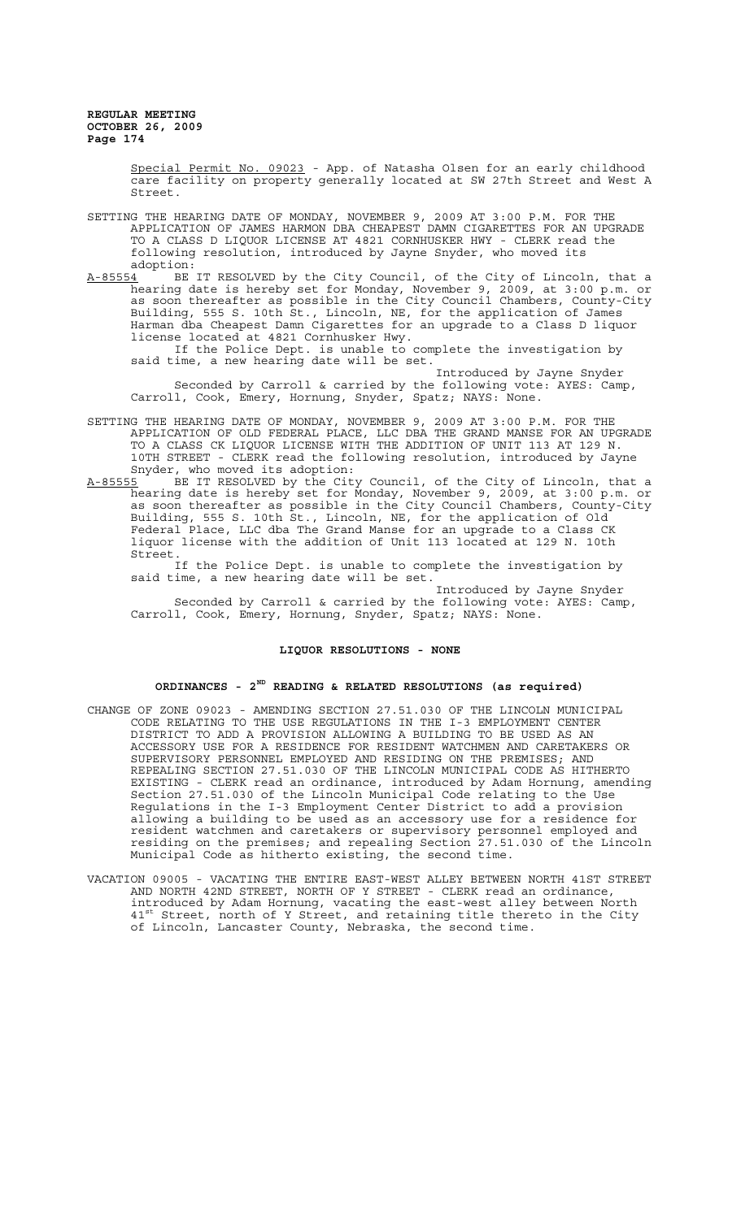> Special Permit No. 09023 - App. of Natasha Olsen for an early childhood care facility on property generally located at SW 27th Street and West A Street.

- SETTING THE HEARING DATE OF MONDAY, NOVEMBER 9, 2009 AT 3:00 P.M. FOR THE APPLICATION OF JAMES HARMON DBA CHEAPEST DAMN CIGARETTES FOR AN UPGRADE TO A CLASS D LIQUOR LICENSE AT 4821 CORNHUSKER HWY - CLERK read the following resolution, introduced by Jayne Snyder, who moved its
- adoption:<br><u>A-85554</u> BE BE IT RESOLVED by the City Council, of the City of Lincoln, that a hearing date is hereby set for Monday, November 9, 2009, at 3:00 p.m. or as soon thereafter as possible in the City Council Chambers, County-City Building, 555 S. 10th St., Lincoln, NE, for the application of James Harman dba Cheapest Damn Cigarettes for an upgrade to a Class D liquor license located at 4821 Cornhusker Hwy.

If the Police Dept. is unable to complete the investigation by said time, a new hearing date will be set.

Introduced by Jayne Snyder Seconded by Carroll & carried by the following vote: AYES: Camp, Carroll, Cook, Emery, Hornung, Snyder, Spatz; NAYS: None.

- SETTING THE HEARING DATE OF MONDAY, NOVEMBER 9, 2009 AT 3:00 P.M. FOR THE APPLICATION OF OLD FEDERAL PLACE, LLC DBA THE GRAND MANSE FOR AN UPGRADE TO A CLASS CK LIQUOR LICENSE WITH THE ADDITION OF UNIT 113 AT 129 N. 10TH STREET - CLERK read the following resolution, introduced by Jayne Snyder, who moved its adoption:
- <u>A-85555</u> BE IT RESOLVED by the City Council, of the City of Lincoln, that a hearing date is hereby set for Monday, November 9, 2009, at 3:00 p.m. or as soon thereafter as possible in the City Council Chambers, County-City Building, 555 S. 10th St., Lincoln, NE, for the application of Old Federal Place, LLC dba The Grand Manse for an upgrade to a Class CK liquor license with the addition of Unit 113 located at 129 N. 10th Street.

If the Police Dept. is unable to complete the investigation by said time, a new hearing date will be set.

Introduced by Jayne Snyder Seconded by Carroll & carried by the following vote: AYES: Camp, Carroll, Cook, Emery, Hornung, Snyder, Spatz; NAYS: None.

## **LIQUOR RESOLUTIONS - NONE**

# **ORDINANCES - 2ND READING & RELATED RESOLUTIONS (as required)**

- CHANGE OF ZONE 09023 AMENDING SECTION 27.51.030 OF THE LINCOLN MUNICIPAL CODE RELATING TO THE USE REGULATIONS IN THE I-3 EMPLOYMENT CENTER DISTRICT TO ADD A PROVISION ALLOWING A BUILDING TO BE USED AS AN ACCESSORY USE FOR A RESIDENCE FOR RESIDENT WATCHMEN AND CARETAKERS OR SUPERVISORY PERSONNEL EMPLOYED AND RESIDING ON THE PREMISES; AND REPEALING SECTION 27.51.030 OF THE LINCOLN MUNICIPAL CODE AS HITHERTO EXISTING - CLERK read an ordinance, introduced by Adam Hornung, amending Section 27.51.030 of the Lincoln Municipal Code relating to the Use Regulations in the I-3 Employment Center District to add a provision allowing a building to be used as an accessory use for a residence for resident watchmen and caretakers or supervisory personnel employed and residing on the premises; and repealing Section 27.51.030 of the Lincoln Municipal Code as hitherto existing, the second time.
- VACATION 09005 VACATING THE ENTIRE EAST-WEST ALLEY BETWEEN NORTH 41ST STREET AND NORTH 42ND STREET, NORTH OF Y STREET - CLERK read an ordinance, introduced by Adam Hornung, vacating the east-west alley between North 41<sup>st</sup> Street, north of Y Street, and retaining title thereto in the City of Lincoln, Lancaster County, Nebraska, the second time.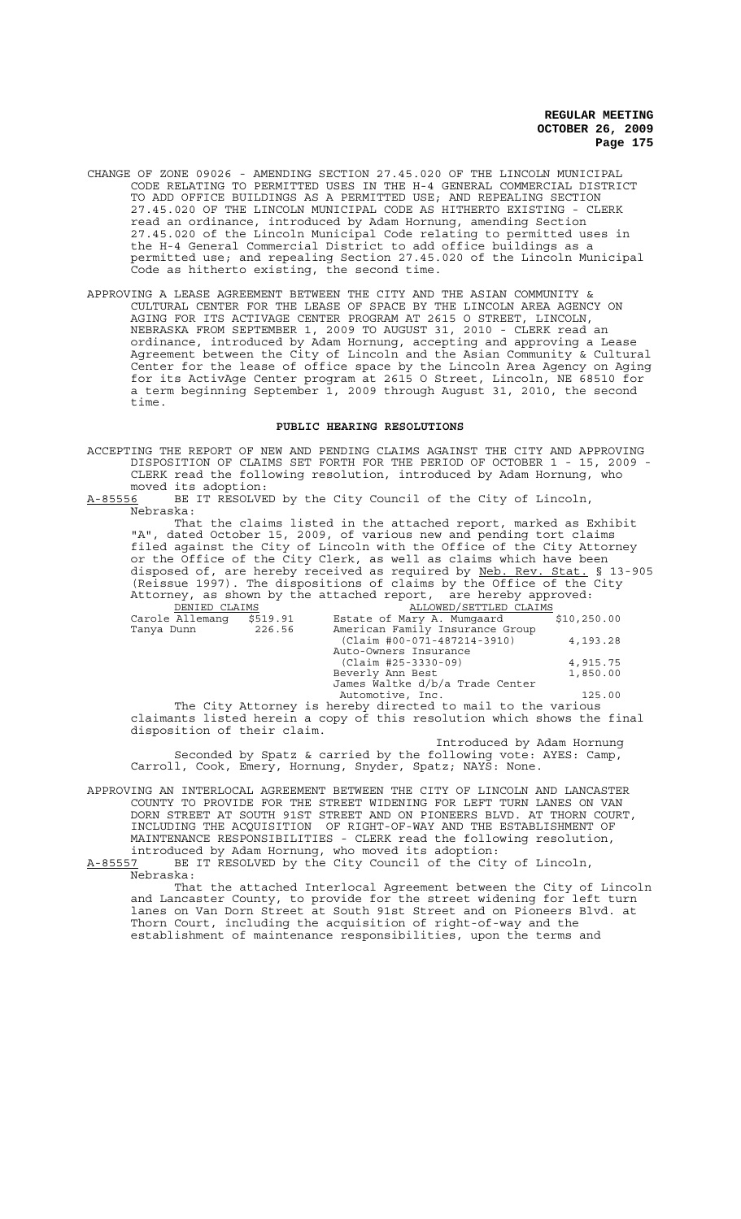- CHANGE OF ZONE 09026 AMENDING SECTION 27.45.020 OF THE LINCOLN MUNICIPAL CODE RELATING TO PERMITTED USES IN THE H-4 GENERAL COMMERCIAL DISTRICT TO ADD OFFICE BUILDINGS AS A PERMITTED USE; AND REPEALING SECTION 27.45.020 OF THE LINCOLN MUNICIPAL CODE AS HITHERTO EXISTING - CLERK read an ordinance, introduced by Adam Hornung, amending Section 27.45.020 of the Lincoln Municipal Code relating to permitted uses in the H-4 General Commercial District to add office buildings as a permitted use; and repealing Section 27.45.020 of the Lincoln Municipal Code as hitherto existing, the second time.
- APPROVING A LEASE AGREEMENT BETWEEN THE CITY AND THE ASIAN COMMUNITY & CULTURAL CENTER FOR THE LEASE OF SPACE BY THE LINCOLN AREA AGENCY ON AGING FOR ITS ACTIVAGE CENTER PROGRAM AT 2615 O STREET, LINCOLN, NEBRASKA FROM SEPTEMBER 1, 2009 TO AUGUST 31, 2010 - CLERK read an ordinance, introduced by Adam Hornung, accepting and approving a Lease Agreement between the City of Lincoln and the Asian Community & Cultural Center for the lease of office space by the Lincoln Area Agency on Aging for its ActivAge Center program at 2615 O Street, Lincoln, NE 68510 for a term beginning September 1, 2009 through August 31, 2010, the second time.

# **PUBLIC HEARING RESOLUTIONS**

ACCEPTING THE REPORT OF NEW AND PENDING CLAIMS AGAINST THE CITY AND APPROVING DISPOSITION OF CLAIMS SET FORTH FOR THE PERIOD OF OCTOBER 1 - 15, 2009 - CLERK read the following resolution, introduced by Adam Hornung, who moved its adoption:

A-85556 BE IT RESOLVED by the City Council of the City of Lincoln, Nebraska:

That the claims listed in the attached report, marked as Exhibit "A", dated October 15, 2009, of various new and pending tort claims filed against the City of Lincoln with the Office of the City Attorney or the Office of the City Clerk, as well as claims which have been disposed of, are hereby received as required by Neb. Rev. Stat. § 13-905 (Reissue 1997). The dispositions of claims by the Office of the City Attorney, as shown by the attached report, are hereby approved: DENIED CLAIMS ALLOWED/SETTLED CLAIMS

| DENIED CEAINS   |          | AUUVWED / SEIIIEU CUAINS        |              |
|-----------------|----------|---------------------------------|--------------|
| Carole Allemang | \$519.91 | Estate of Mary A. Mumqaard      | \$10, 250.00 |
| Tanya Dunn      | 226.56   | American Family Insurance Group |              |
|                 |          | (Claim #00-071-487214-3910)     | 4,193.28     |
|                 |          | Auto-Owners Insurance           |              |
|                 |          | (Claim #25-3330-09)             | 4,915.75     |
|                 |          | Beverly Ann Best                | 1,850.00     |
|                 |          | James Waltke d/b/a Trade Center |              |
|                 |          | Automotive, Inc.                | 125.00       |

The City Attorney is hereby directed to mail to the various claimants listed herein a copy of this resolution which shows the final disposition of their claim.

Introduced by Adam Hornung Seconded by Spatz & carried by the following vote: AYES: Camp, Carroll, Cook, Emery, Hornung, Snyder, Spatz; NAYS: None.

APPROVING AN INTERLOCAL AGREEMENT BETWEEN THE CITY OF LINCOLN AND LANCASTER COUNTY TO PROVIDE FOR THE STREET WIDENING FOR LEFT TURN LANES ON VAN DORN STREET AT SOUTH 91ST STREET AND ON PIONEERS BLVD. AT THORN COURT, INCLUDING THE ACQUISITION OF RIGHT-OF-WAY AND THE ESTABLISHMENT OF MAINTENANCE RESPONSIBILITIES - CLERK read the following resolution, introduced by Adam Hornung, who moved its adoption:

A-85557 BE IT RESOLVED by the City Council of the City of Lincoln, Nebraska:

That the attached Interlocal Agreement between the City of Lincoln and Lancaster County, to provide for the street widening for left turn lanes on Van Dorn Street at South 91st Street and on Pioneers Blvd. at Thorn Court, including the acquisition of right-of-way and the establishment of maintenance responsibilities, upon the terms and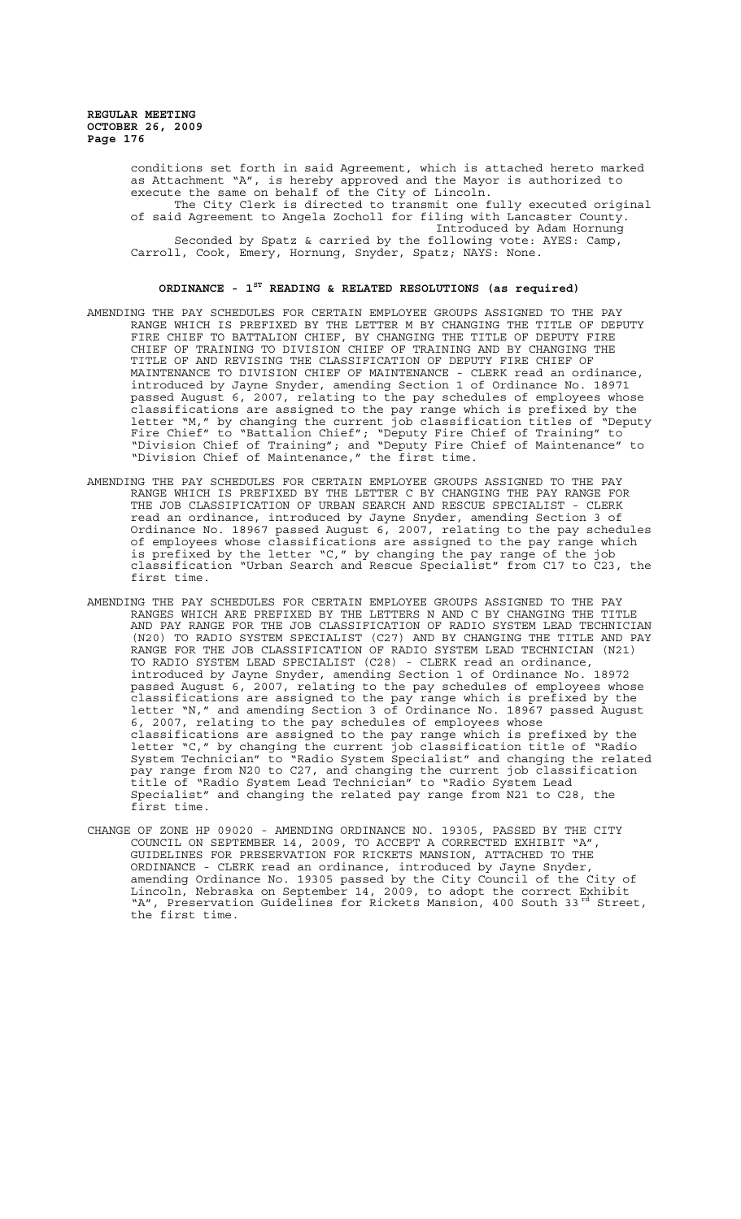> conditions set forth in said Agreement, which is attached hereto marked as Attachment "A", is hereby approved and the Mayor is authorized to execute the same on behalf of the City of Lincoln. The City Clerk is directed to transmit one fully executed original of said Agreement to Angela Zocholl for filing with Lancaster County. Introduced by Adam Hornung Seconded by Spatz & carried by the following vote: AYES: Camp, Carroll, Cook, Emery, Hornung, Snyder, Spatz; NAYS: None.

#### **ORDINANCE - 1ST READING & RELATED RESOLUTIONS (as required)**

- AMENDING THE PAY SCHEDULES FOR CERTAIN EMPLOYEE GROUPS ASSIGNED TO THE PAY RANGE WHICH IS PREFIXED BY THE LETTER M BY CHANGING THE TITLE OF DEPUTY FIRE CHIEF TO BATTALION CHIEF, BY CHANGING THE TITLE OF DEPUTY FIRE CHIEF OF TRAINING TO DIVISION CHIEF OF TRAINING AND BY CHANGING THE TITLE OF AND REVISING THE CLASSIFICATION OF DEPUTY FIRE CHIEF OF MAINTENANCE TO DIVISION CHIEF OF MAINTENANCE - CLERK read an ordinance, introduced by Jayne Snyder, amending Section 1 of Ordinance No. 18971 passed August 6, 2007, relating to the pay schedules of employees whose classifications are assigned to the pay range which is prefixed by the letter "M," by changing the current job classification titles of "Deputy Fire Chief" to "Battalion Chief"; "Deputy Fire Chief of Training" to "Division Chief of Training"; and "Deputy Fire Chief of Maintenance" to "Division Chief of Maintenance," the first time.
- AMENDING THE PAY SCHEDULES FOR CERTAIN EMPLOYEE GROUPS ASSIGNED TO THE PAY RANGE WHICH IS PREFIXED BY THE LETTER C BY CHANGING THE PAY RANGE FOR THE JOB CLASSIFICATION OF URBAN SEARCH AND RESCUE SPECIALIST - CLERK read an ordinance, introduced by Jayne Snyder, amending Section 3 of Ordinance No. 18967 passed August 6, 2007, relating to the pay schedules of employees whose classifications are assigned to the pay range which is prefixed by the letter "C," by changing the pay range of the job classification "Urban Search and Rescue Specialist" from C17 to C23, the first time.
- AMENDING THE PAY SCHEDULES FOR CERTAIN EMPLOYEE GROUPS ASSIGNED TO THE PAY RANGES WHICH ARE PREFIXED BY THE LETTERS N AND C BY CHANGING THE TITLE AND PAY RANGE FOR THE JOB CLASSIFICATION OF RADIO SYSTEM LEAD TECHNICIAN (N20) TO RADIO SYSTEM SPECIALIST (C27) AND BY CHANGING THE TITLE AND PAY RANGE FOR THE JOB CLASSIFICATION OF RADIO SYSTEM LEAD TECHNICIAN (N21) TO RADIO SYSTEM LEAD SPECIALIST (C28) - CLERK read an ordinance, introduced by Jayne Snyder, amending Section 1 of Ordinance No. 18972 passed August 6, 2007, relating to the pay schedules of employees whose classifications are assigned to the pay range which is prefixed by the letter "N," and amending Section 3 of Ordinance No. 18967 passed August 6, 2007, relating to the pay schedules of employees whose classifications are assigned to the pay range which is prefixed by the letter "C," by changing the current job classification title of "Radio System Technician" to "Radio System Specialist" and changing the related pay range from N20 to C27, and changing the current job classification title of "Radio System Lead Technician" to "Radio System Lead Specialist" and changing the related pay range from N21 to C28, the first time.
- CHANGE OF ZONE HP 09020 AMENDING ORDINANCE NO. 19305, PASSED BY THE CITY COUNCIL ON SEPTEMBER 14, 2009, TO ACCEPT A CORRECTED EXHIBIT "A", GUIDELINES FOR PRESERVATION FOR RICKETS MANSION, ATTACHED TO THE ORDINANCE - CLERK read an ordinance, introduced by Jayne Snyder, amending Ordinance No. 19305 passed by the City Council of the City of Lincoln, Nebraska on September 14, 2009, to adopt the correct Exhibit "A", Preservation Guidelines for Rickets Mansion, 400 South 33<sup>rd</sup> Street, the first time.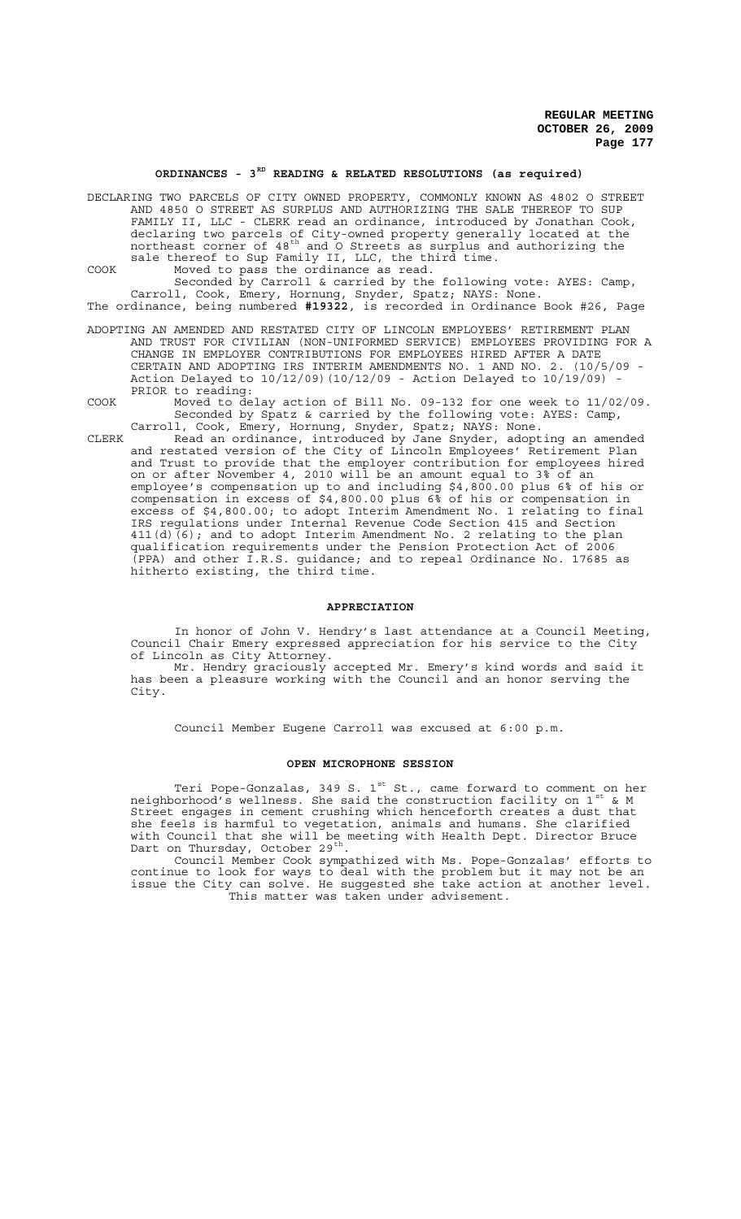# ORDINANCES - 3<sup>RD</sup> READING & RELATED RESOLUTIONS (as required)

DECLARING TWO PARCELS OF CITY OWNED PROPERTY, COMMONLY KNOWN AS 4802 O STREET AND 4850 O STREET AS SURPLUS AND AUTHORIZING THE SALE THEREOF TO SUP FAMILY II, LLC - CLERK read an ordinance, introduced by Jonathan Cook, declaring two parcels of City-owned property generally located at the northeast corner of 48th and O Streets as surplus and authorizing the sale thereof to Sup Family II, LLC, the third time. COOK Moved to pass the ordinance as read.

Seconded by Carroll & carried by the following vote: AYES: Camp, Carroll, Cook, Emery, Hornung, Snyder, Spatz; NAYS: None. The ordinance, being numbered **#19322**, is recorded in Ordinance Book #26, Page

ADOPTING AN AMENDED AND RESTATED CITY OF LINCOLN EMPLOYEES' RETIREMENT PLAN AND TRUST FOR CIVILIAN (NON-UNIFORMED SERVICE) EMPLOYEES PROVIDING FOR A CHANGE IN EMPLOYER CONTRIBUTIONS FOR EMPLOYEES HIRED AFTER A DATE CERTAIN AND ADOPTING IRS INTERIM AMENDMENTS NO. 1 AND NO. 2. (10/5/09 - Action Delayed to 10/12/09)(10/12/09 - Action Delayed to 10/19/09) - PRIOR to reading:

COOK Moved to delay action of Bill No. 09-132 for one week to 11/02/09. Seconded by Spatz & carried by the following vote: AYES: Camp, Carroll, Cook, Emery, Hornung, Snyder, Spatz; NAYS: None.

CLERK Read an ordinance, introduced by Jane Snyder, adopting an amended and restated version of the City of Lincoln Employees' Retirement Plan and Trust to provide that the employer contribution for employees hired on or after November 4, 2010 will be an amount equal to 3% of an employee's compensation up to and including \$4,800.00 plus 6% of his or compensation in excess of \$4,800.00 plus 6% of his or compensation in excess of \$4,800.00; to adopt Interim Amendment No. 1 relating to final IRS regulations under Internal Revenue Code Section 415 and Section 411(d)(6); and to adopt Interim Amendment No. 2 relating to the plan qualification requirements under the Pension Protection Act of 2006  $\overline{(\texttt{PPA})}$  and other I.R.S. guidance; and to repeal Ordinance No. 17685 as hitherto existing, the third time.

#### **APPRECIATION**

In honor of John V. Hendry's last attendance at a Council Meeting, Council Chair Emery expressed appreciation for his service to the City of Lincoln as City Attorney.

Mr. Hendry graciously accepted Mr. Emery's kind words and said it has been a pleasure working with the Council and an honor serving the City.

Council Member Eugene Carroll was excused at 6:00 p.m.

### **OPEN MICROPHONE SESSION**

Teri Pope-Gonzalas, 349 S. 1<sup>st</sup> St., came forward to comment on her neighborhood's wellness. She said the construction facility on  $1^\text{st}$  & M Street engages in cement crushing which henceforth creates a dust that she feels is harmful to vegetation, animals and humans. She clarified with Council that she will be meeting with Health Dept. Director Bruce Dart on Thursday, October 29<sup>th</sup>.<br>Council Member Cook sympathized with Ms. Pope-Gonzalas' efforts to

continue to look for ways to deal with the problem but it may not be an issue the City can solve. He suggested she take action at another level. This matter was taken under advisement.